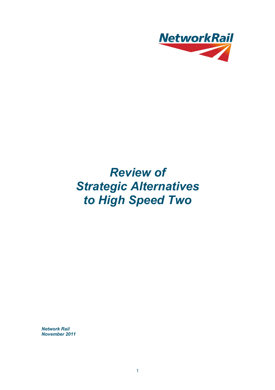

# *Review of Strategic Alternatives to High Speed Two*

*Network Rail November 2011*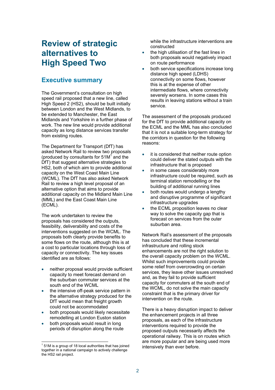# **Review of strategic alternatives to High Speed Two**

# **Executive summary**

The Government's consultation on high speed rail proposed that a new line, called High Speed 2 (HS2), should be built initially between London and the West Midlands, to be extended to Manchester, the East Midlands and Yorkshire in a further phase of work. The new line would provide additional capacity as long distance services transfer from existing routes.

The Department for Transport (DfT) has asked Network Rail to review two proposals (produced by consultants for  $51M<sup>1</sup>$  and the DfT) that suggest alternative strategies to HS2, both of which aim to provide additional capacity on the West Coast Main Line (WCML). The DfT has also asked Network Rail to review a high level proposal of an alternative option that aims to provide additional capacity on the Midland Main Line (MML) and the East Coast Main Line (ECML).

The work undertaken to review the proposals has considered the outputs, feasibility, deliverability and costs of the interventions suggested on the WCML. The proposals both clearly provide benefits to some flows on the route, although this is at a cost to particular locations through loss of capacity or connectivity. The key issues identified are as follows:

- neither proposal would provide sufficient capacity to meet forecast demand on the suburban commuter services at the south end of the WCML
- the intensive off-peak service pattern in the alternative strategy produced for the DfT would mean that freight growth could not be accommodated
- both proposals would likely necessitate remodelling at London Euston station
- both proposals would result in long periods of disruption along the route

l

while the infrastructure interventions are constructed

- the high utilisation of the fast lines in both proposals would negatively impact on route performance
- both service specifications increase long distance high speed (LDHS) connectivity on some flows, however this is at the expense of other intermediate flows, where connectivity severely worsens. In some cases this results in leaving stations without a train service.

The assessment of the proposals produced for the DfT to provide additional capacity on the ECML and the MML has also concluded that it is not a suitable long-term strategy for the corridors in question for the following reasons:

- it is considered that neither route option could deliver the stated outputs with the infrastructure that is proposed
- in some cases considerably more infrastructure could be required, such as terminal station remodelling or the building of additional running lines
- both routes would undergo a lengthy and disruptive programme of significant infrastructure upgrades
- the ECML proposition leaves no clear way to solve the capacity gap that is forecast on services from the outer suburban area.

Network Rail's assessment of the proposals has concluded that these incremental infrastructure and rolling stock enhancements are not the right solution to the overall capacity problem on the WCML. Whilst such improvements could provide some relief from overcrowding on certain services, they leave other issues unresolved and, as they fail to provide sufficient capacity for commuters at the south end of the WCML, do not solve the main capacity constraint that is the primary driver for intervention on the route.

There is a heavy disruption impact to deliver the enhancement projects in all three proposals, as each of the infrastructure interventions required to provide the proposed outputs necessarily affects the operational railway. This is on routes which are more popular and are being used more

 $\frac{1}{1}$  51M is a group of 18 local authorities that has joined intensively than ever before. together in a national campaign to actively challenge the HS2 rail project.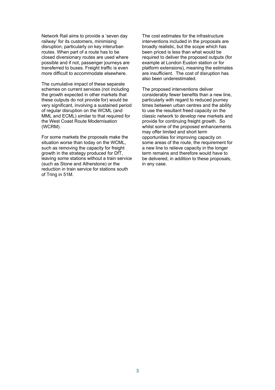Network Rail aims to provide a 'seven day railway' for its customers, minimising disruption, particularly on key interurban routes. When part of a route has to be closed diversionary routes are used where possible and if not, passenger journeys are transferred to buses. Freight traffic is even more difficult to accommodate elsewhere.

The cumulative impact of these separate schemes on current services (not including the growth expected in other markets that these outputs do not provide for) would be very significant, involving a sustained period of regular disruption on the WCML (and MML and ECML) similar to that required for the West Coast Route Modernisation (WCRM).

For some markets the proposals make the situation worse than today on the WCML, such as removing the capacity for freight growth in the strategy produced for DfT, leaving some stations without a train service (such as Stone and Atherstone) or the reduction in train service for stations south of Tring in 51M.

The cost estimates for the infrastructure interventions included in the proposals are broadly realistic, but the scope which has been priced is less than what would be required to deliver the proposed outputs (for example at London Euston station or for platform extensions), meaning the estimates are insufficient. The cost of disruption has also been underestimated.

The proposed interventions deliver considerably fewer benefits than a new line, particularly with regard to reduced journey times between urban centres and the ability to use the resultant freed capacity on the classic network to develop new markets and provide for continuing freight growth. So whilst some of the proposed enhancements may offer limited and short term opportunities for improving capacity on some areas of the route, the requirement for a new line to relieve capacity in the longer term remains and therefore would have to be delivered, in addition to these proposals, in any case.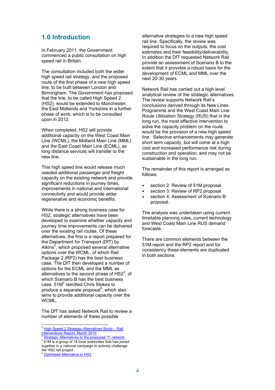# **1.0 Introduction**

In February 2011, the Government commenced a public consultation on high speed rail in Britain.

upon in 2012. The consultation included both the wider high speed rail strategy, and the proposed route of the first phase of a new high speed line, to be built between London and Birmingham. The Government has proposed that the line, to be called High Speed 2 (HS2), would be extended to Manchester, the East Midlands and Yorkshire in a further phase of work, which is to be consulted

When completed, HS2 will provide additional capacity on the West Coast Main Line (WCML), the Midland Main Line (MML) and the East Coast Main Line (ECML), as long distance services will transfer to the new line.

This high speed line would release much needed additional passenger and freight capacity on the existing network and provide significant reductions in journey times. improvements in national and international connectivity and would provide wider regenerative and economic benefits.

While there is a strong business case for HS2, strategic alternatives have been developed to examine whether capacity and journey time improvements can be delivered over the existing rail routes. Of these alternatives, the first is a report prepared for the Department for Transport (DfT) by Atkins<sup>2</sup>, which proposed several alternative options over the WCML, of which Rail Package 2 (RP2) has the best business case. The DfT then developed a number of options for the ECML and the MML as alternatives to the second phase of  $HSI<sup>3</sup>$ , of which Scenario B has the best business case. 51M<sup>4</sup> remitted Chris Stokes to produce a separate proposal<sup>5</sup>, which also aims to provide additional capacity over the WCML.

The DfT has asked Network Rail to review a number of elements of these possible

l

alternative strategies to a new high speed rail line. Specifically, the review was required to focus on the outputs, the cost estimates and their feasibility/deliverability. In addition the DfT requested Network Rail provide an assessment of Scenario B to the extent that it provides a robust basis for the development of ECML and MML over the next 20-30 years.

Network Rail has carried out a high level analytical review of the strategic alternatives. The review supports Network Rail's conclusions derived through its New Lines Programme and the West Coast Main Line Route Utilisation Strategy (RUS) that in the long run, the most effective intervention to solve the capacity problem on the route would be the provision of a new high speed line. Selective enhancements may generate short term capacity, but will come at a high cost and increased performance risk during construction and operation, and may not be sustainable in the long run.

The remainder of this report is arranged as follows:

- section 2: Review of 51M proposal
- section 3: Review of RP2 proposal
- section 4: Assessment of Scenario B proposal.

The analysis was undertaken using current timetable planning rules, current technology and West Coast Main Line RUS demand forecasts.

There are common elements between the 51M report and the RP2 report and for consistency these elements are duplicated in both sections.

.

<sup>&</sup>lt;sup>2</sup> High Speed 2 Strategic Alternatives Study - Rail Interventions Report, March 2010 3 Strategic Alternatives to the proposed 'Y' network 4

<sup>&</sup>lt;sup>4</sup> 51M is a group of 18 local authorities that has joined

together in a national campaign to actively challenge the HS2 rail project.

**Optimised Alternative to HS2**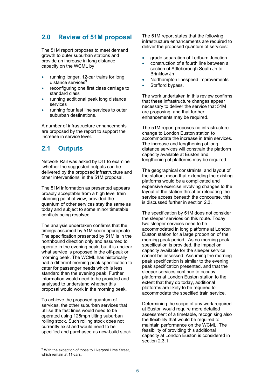# **2.0 Review of 51M proposal**

The 51M report proposes to meet demand growth to outer suburban stations and provide an increase in long distance capacity on the WCML by

- distance services<sup>6</sup> • running longer, 12-car trains for long
- reconfiguring one first class carriage to standard class
- running additional peak long distance services
- running four fast line services to outer suburban destinations.

A number of infrastructure enhancements are proposed by the report to support the increase in service level.

# **2.1 Outputs**

Network Rail was asked by DfT to examine 'whether the suggested outputs can be delivered by the proposed infrastructure and other interventions' in the 51M proposal.

The 51M information as presented appears broadly acceptable from a high level train planning point of view, provided the quantum of other services stay the same as today and subject to some minor timetable conflicts being resolved.

The analysis undertaken confirms that the timings assumed by 51M seem appropriate. The specification presented by 51M is in the northbound direction only and assumed to operate in the evening peak, but it is unclear what service is proposed in the off-peak or morning peak. The WCML has historically had a different morning peak specification to cater for passenger needs which is less standard than the evening peak. Further information would need to be provided and analysed to understand whether this proposal would work in the morning peak.

To achieve the proposed quantum of services, the other suburban services that utilise the fast lines would need to be operated using 125mph tilting suburban rolling stock. Such rolling stock does not currently exist and would need to be specified and purchased as new-build stock.

l

The 51M report states that the following infrastructure enhancements are required to deliver the proposed quantum of services:

- grade separation of Ledburn Junction
- construction of a fourth line between a section of Attleborough South Jn to Brinklow Jn
- Northampton linespeed improvements
- Stafford bypass.

The work undertaken in this review confirms that these infrastructure changes appear necessary to deliver the service that 51M are proposing, and that further enhancements may be required.

The 51M report proposes no infrastructure change to London Euston station to accommodate the increase in train services. The increase and lengthening of long distance services will constrain the platform capacity available at Euston and lengthening of platforms may be required.

The geographical constraints, and layout of the station, mean that extending the existing platforms would be a complicated and expensive exercise involving changes to the layout of the station throat or relocating the service access beneath the concourse, this is discussed further in section 2.3.

The specification by 51M does not consider the sleeper services on this route. Today, two sleeper services need to be accommodated in long platforms at London Euston station for a large proportion of the morning peak period. As no morning peak specification is provided, the impact on capacity available for the sleeper service cannot be assessed. Assuming the morning peak specification is similar to the evening peak specification presented, and that the sleeper services continue to occupy platforms at London Euston station to the extent that they do today, additional platforms are likely to be required to accommodate the specified train service.

Determining the scope of any work required at Euston would require more detailed assessment of a timetable, recognising also the flexibility that would be required to maintain performance on the WCML. The feasibility of providing this additional capacity at London Euston is considered in section 2.3.1.

 $6$  With the exception of those to Liverpool Lime Street, which remain at 11-cars.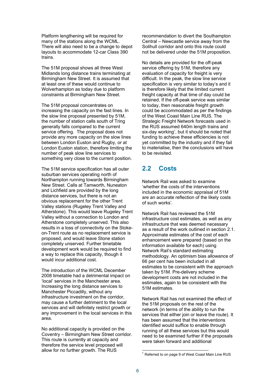Platform lengthening will be required for many of the stations along the WCML. There will also need to be a change to depot layouts to accommodate 12-car Class 390 trains.

The 51M proposal shows all three West Midlands long distance trains terminating at Birmingham New Street. It is assumed that at least one of these would continue to Wolverhampton as today due to platform constraints at Birmingham New Street.

The 51M proposal concentrates on increasing the capacity on the fast lines. In the slow line proposal presented by 51M, the number of station calls south of Tring generally falls compared to the current service offering. The proposal does not provide any more capacity on the slow lines between London Euston and Rugby, or at London Euston station, therefore limiting the number of peak slow line services to something very close to the current position.

The 51M service specification has all outer suburban services operating north of Northampton running towards Birmingham New Street. Calls at Tamworth, Nuneaton and Lichfield are provided by the long distance services, but there is not an obvious replacement for the other Trent Valley stations (Rugeley Trent Valley and Atherstone). This would leave Rugeley Trent Valley without a connection to London and Atherstone completely unserved. This also results in a loss of connectivity on the Stokeon-Trent route as no replacement service is proposed, and would leave Stone station completely unserved. Further timetable development work would be required to find a way to replace this capacity, though it would incur additional cost.

The introduction of the WCML December 2008 timetable had a detrimental impact on 'local' services in the Manchester area. Increasing the long distance services to Manchester Piccadilly, without any infrastructure investment on the corridor, may cause a further detriment to the local services and will definitely restrict growth or any improvement in the local services in this area.

No additional capacity is provided on the Coventry – Birmingham New Street corridor. This route is currently at capacity and therefore the service level proposed will allow for no further growth. The RUS

recommendation to divert the Southampton Central – Newcastle service away from the Solihull corridor and onto this route could not be delivered under the 51M proposition.

No details are provided for the off-peak service offering by 51M, therefore any evaluation of capacity for freight is very difficult. In the peak, the slow line service specification is very similar to today's and it is therefore likely that the limited current freight capacity at that time of day could be retained. If the off-peak service was similar to today, then reasonable freight growth could be accommodated as per the findings of the West Coast Main Line RUS. The Strategic Freight Network forecasts used in the RUS assumed 640m length trains and six-day working<sup>7</sup>, but it should be noted that funding to achieve these efficiencies is not yet committed by the industry and if they fail to materialise, then the conclusions will have to be revisited.

# **2.2 Costs**

Network Rail was asked to examine 'whether the costs of the interventions included in the economic appraisal of 51M are an accurate reflection of the likely costs of such works'.

51M estimates Network Rail has reviewed the 51M infrastructure cost estimates, as well as any infrastructure that was deemed necessary as a result of the work outlined in section 2.1. Approximate estimates of the cost of each enhancement were prepared (based on the information available for each) using Network Rail's standard estimating methodology. An optimism bias allowance of 66 per cent has been included in all estimates to be consistent with the approach taken by 51M. Pre-delivery scheme development costs are not included in the estimates, again to be consistent with the

Network Rail has not examined the effect of the 51M proposals on the rest of the network (in terms of the ability to run the services that either join or leave the route). It has been assumed that the interventions identified would suffice to enable through running of all these services but this would need to be examined further if the proposals were taken forward and additional

l  $7$  Referred to on page 9 of West Coast Main Line RUS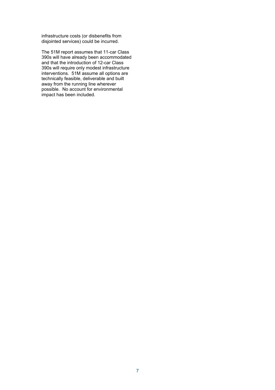infrastructure costs (or disbenefits from disjointed services) could be incurred.

The 51M report assumes that 11-car Class 390s will have already been accommodated and that the introduction of 12-car Class 390s will require only modest infrastructure interventions. 51M assume all options are technically feasible, deliverable and built away from the running line wherever possible. No account for environmental impact has been included.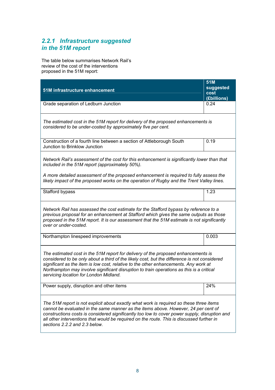# *2.2.1 Infrastructure suggested in the 51M report*

The table below summarises Network Rail's review of the cost of the interventions proposed in the 51M report:

|                                                                                                                                                                                                                                                                                                                                                                                                                 | 51M               |  |
|-----------------------------------------------------------------------------------------------------------------------------------------------------------------------------------------------------------------------------------------------------------------------------------------------------------------------------------------------------------------------------------------------------------------|-------------------|--|
| 51M infrastructure enhancement                                                                                                                                                                                                                                                                                                                                                                                  | suggested<br>cost |  |
|                                                                                                                                                                                                                                                                                                                                                                                                                 | (£billions)       |  |
| Grade separation of Ledburn Junction                                                                                                                                                                                                                                                                                                                                                                            | 0.24              |  |
| The estimated cost in the 51M report for delivery of the proposed enhancements is<br>considered to be under-costed by approximately five per cent.                                                                                                                                                                                                                                                              |                   |  |
| Construction of a fourth line between a section of Attleborough South<br>Junction to Brinklow Junction                                                                                                                                                                                                                                                                                                          | 0.19              |  |
| Network Rail's assessment of the cost for this enhancement is significantly lower than that<br>included in the 51M report (approximately 50%).                                                                                                                                                                                                                                                                  |                   |  |
| A more detailed assessment of the proposed enhancement is required to fully assess the<br>likely impact of the proposed works on the operation of Rugby and the Trent Valley lines.                                                                                                                                                                                                                             |                   |  |
| Stafford bypass                                                                                                                                                                                                                                                                                                                                                                                                 | 1.23              |  |
| Network Rail has assessed the cost estimate for the Stafford bypass by reference to a<br>previous proposal for an enhancement at Stafford which gives the same outputs as those<br>proposed in the 51M report. It is our assessment that the 51M estimate is not significantly<br>over or under-costed.                                                                                                         |                   |  |
| Northampton linespeed improvements                                                                                                                                                                                                                                                                                                                                                                              | 0.003             |  |
| The estimated cost in the 51M report for delivery of the proposed enhancements is<br>considered to be only about a third of the likely cost, but the difference is not considered<br>significant as the item is low cost, relative to the other enhancements. Any work at<br>Northampton may involve significant disruption to train operations as this is a critical<br>servicing location for London Midland. |                   |  |
| Power supply, disruption and other items                                                                                                                                                                                                                                                                                                                                                                        | 24%               |  |
| The 51M report is not explicit about exactly what work is required so these three items<br>cannot be evaluated in the same manner as the items above. However, 24 per cent of<br>constructions costs is considered significantly too low to cover power supply, disruption and<br>all other interventions that would be required on the route. This is discussed further in<br>sections 2.2.2 and 2.3 below.    |                   |  |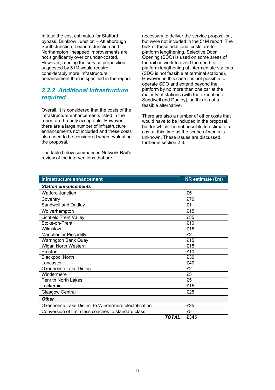In total the cost estimates for Stafford bypass, Brinklow Junction – Attleborough South Junction, Ledburn Junction and Northampton linespeed improvements are not significantly over or under-costed. However, running the service proposition suggested by 51M would require considerably more infrastructure enhancement than is specified in the report.

### *2.2.2 Additional infrastructure required*

Overall, it is considered that the costs of the infrastructure enhancements listed in the report are broadly acceptable. However, there are a large number of infrastructure enhancements not included and these costs also need to be considered when evaluating the proposal.

The table below summarises Network Rail's review of the interventions that are

necessary to deliver the service proposition, but were not included in the 51M report. The bulk of these additional costs are for platform lengthening. Selective Door Opening (SDO) is used on some areas of the rail network to avoid the need for platform lengthening at intermediate stations (SDO is not feasible at terminal stations). However, in this case it is not possible to operate SDO and extend beyond the platform by no more than one car at the majority of stations (with the exception of Sandwell and Dudley), so this is not a feasible alternative.

There are also a number of other costs that would have to be included in the proposal, but for which it is not possible to estimate a cost at this time as the scope of works is unknown. These issues are discussed further in section 2.3.

| Infrastructure enhancement                            |       | NR estimate (£m) |
|-------------------------------------------------------|-------|------------------|
| <b>Station enhancements</b>                           |       |                  |
| <b>Watford Junction</b>                               |       | £5               |
| Coventry                                              |       | £70              |
| Sandwell and Dudley                                   |       | £1               |
| Wolverhampton                                         |       | £15              |
| <b>Lichfield Trent Valley</b>                         |       | £35              |
| Stoke-on-Trent                                        |       | £10              |
| Wilmslow                                              |       | £15              |
| <b>Manchester Piccadilly</b>                          |       | £2               |
| <b>Warrington Bank Quay</b>                           |       | £15              |
| Wigan North Western                                   |       | £15              |
| Preston                                               |       | £10              |
| <b>Blackpool North</b>                                |       | £30              |
| Lancaster                                             |       | £40              |
| Oxenholme Lake District                               |       | £2               |
| Windermere                                            |       | £5               |
| Penrith North Lakes                                   |       | £5               |
| Lockerbie                                             |       | £15              |
| <b>Glasgow Central</b>                                |       | £25              |
| <b>Other</b>                                          |       |                  |
| Oxenholme Lake District to Windermere electrification |       | £25              |
| Conversion of first class coaches to standard class   |       | £5               |
|                                                       | TOTAL | £345             |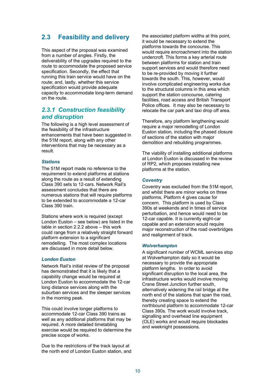# **2.3 Feasibility and delivery**

This aspect of the proposal was examined from a number of angles. Firstly, the deliverability of the upgrades required to the route to accommodate the proposed service specification. Secondly, the effect that running this train service would have on the route; and, lastly, whether this service specification would provide adequate capacity to accommodate long-term demand on the route.

### *2.3.1 Construction feasibility and disruption*

The following is a high level assessment of the feasibility of the infrastructure enhancements that have been suggested in the 51M report, along with any other interventions that may be necessary as a result.

### *Stations*

The 51M report made no reference to the requirement to extend platforms at stations along the route as a result of extending Class 390 sets to 12-cars. Network Rail's assessment concludes that there are numerous stations that will require platforms to be extended to accommodate a 12-car Class 390 train.

Stations where work is required (except London Euston – see below) are listed in the table in section 2.2.2 above – this work could range from a relatively straight forward platform extension to a significant remodelling. The most complex locations are discussed in more detail below.

### *London Euston*

Network Rail's initial review of the proposal has demonstrated that it is likely that a capability change would be required at London Euston to accommodate the 12-car long distance services along with the suburban services and the sleeper services in the morning peak.

This could involve longer platforms to accommodate 12-car Class 390 trains as well as any additional platforms that may be required. A more detailed timetabling exercise would be required to determine the precise scope of works.

Due to the restrictions of the track layout at the north end of London Euston station, and the associated platform widths at this point, it would be necessary to extend the platforms towards the concourse. This would require encroachment into the station undercroft. This forms a key arterial route between platforms for station and train support services and would therefore need to be re-provided by moving it further towards the south. This, however, would involve complicated engineering works due to the structural columns in this area which support the station concourse, catering facilities, road access and British Transport Police offices. It may also be necessary to relocate the car park and taxi drop off area.

Therefore, any platform lengthening would require a major remodelling of London Euston station, including the phased closure of sections of the station with major demolition and rebuilding programmes.

The viability of installing additional platforms at London Euston is discussed in the review of RP2, which proposes installing new platforms at the station.

### *Coventry*

Coventry was excluded from the 51M report, and whilst there are minor works on three platforms, Platform 4 gives cause for concern. This platform is used by Class 390s at weekends and in times of service perturbation, and hence would need to be 12-car capable. It is currently eight-car capable and an extension would require major reconstruction of the road overbridges and realignment of track.

### *Wolverhampton*

A significant number of WCML services stop at Wolverhampton daily so it would be necessary to provide the appropriate platform lengths. In order to avoid significant disruption to the local area, the infrastructure works would involve moving Crane Street Junction further south, alternatively widening the rail bridge at the north end of the stations that span the road, thereby creating space to extend the northbound platform to accommodate 12-car Class 390s. The work would involve track, signalling and overhead line equipment (OLE) works and would require blockades and weeknight possessions.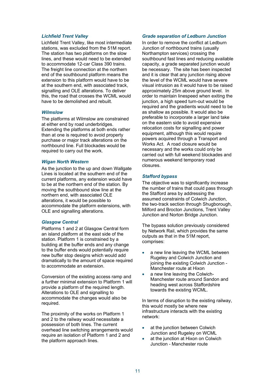#### *Lichfield Trent Valley*

Lichfield Trent Valley, like most intermediate stations, was excluded from the 51M report. The station has two platforms on the slow lines, and these would need to be extended to accommodate 12-car Class 390 trains. The freight line connection at the northern end of the southbound platform means the extension to this platform would have to be at the southern end, with associated track, signalling and OLE alterations. To deliver this, the road that crosses the WCML would have to be demolished and rebuilt.

#### *Wilmslow*

The platforms at Wilmslow are constrained at either end by road underbridges. Extending the platforms at both ends rather than at one is required to avoid property purchase or major track alterations on the northbound line. Full blockades would be required to carry out the work.

#### *Wigan North Western*

As the junction to the up and down Wallgate Lines is located at the southern end of the current platforms, any extension would have to be at the northern end of the station. By moving the southbound slow line at the northern end, with associated OLE alterations, it would be possible to accommodate the platform extensions, with OLE and signalling alterations.

#### *Glasgow Central*

Platforms 1 and 2 at Glasgow Central form an island platform at the east side of the station. Platform 1 is constrained by a building at the buffer ends and any change to the buffer ends would potentially require new buffer stop designs which would add dramatically to the amount of space required to accommodate an extension.

Conversion of the existing access ramp and a further minimal extension to Platform 1 will provide a platform of the required length. Alterations to OLE and signalling to accommodate the changes would also be required.

The proximity of the works on Platform 1 and 2 to the railway would necessitate a possession of both lines. The current overhead line switching arrangements would require an isolation of Platform 1 and 2 and the platform approach lines.

### *Grade separation of Ledburn Junction*

In order to remove the conflict at Ledburn Junction of northbound trains (usually Northampton services) crossing the southbound fast lines and reducing available capacity, a grade separated junction would be necessary. The site has been inspected and it is clear that any junction rising above the level of the WCML would have severe visual intrusion as it would have to be raised approximately 25m above ground level. In order to maintain linespeed when exiting the junction, a high speed turn-out would be required and the gradients would need to be as shallow as possible. It would also be preferable to incorporate a larger land take on the eastern side to avoid expensive relocation costs for signalling and power equipment, although this would require powers acquired through a Transport and Works Act. A road closure would be necessary and the works could only be carried out with full weekend blockades and numerous weekend temporary road closures.

#### *Stafford bypass*

Junction and Norton Bridge Junction. The objective was to significantly increase the number of trains that could pass through the Stafford area by addressing the assumed constraints of Colwich Junction, the two-track section through Shugborough, Milford and Brocton Junctions, Trent Valley

The bypass solution previously considered by Network Rail, which provides the same outputs as that in the 51M report, comprises:

- a new line leaving the WCML between Rugeley and Colwich Junction and joining the existing Colwich Junction - Manchester route at Hixon
- a new line leaving the Colwich-Manchester route around Sandon and heading west across Staffordshire towards the existing WCML.

In terms of disruption to the existing railway, this would mostly be where new infrastructure interacts with the existing network:

- at the junction between Colwich Junction and Rugeley on WCML
- at the junction at Hixon on Colwich Junction - Manchester route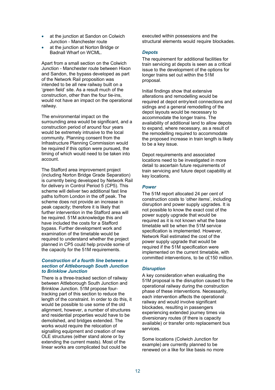- at the junction at Sandon on Colwich Junction - Manchester route
- at the junction at Norton Bridge or Badnall Wharf on WCML.

Apart from a small section on the Colwich Junction - Manchester route between Hixon and Sandon, the bypass developed as part of the Network Rail proposition was intended to be all new railway built on a 'green field' site. As a result much of the construction, other than the four tie-ins, would not have an impact on the operational railway.

The environmental impact on the surrounding area would be significant, and a construction period of around four years would be extremely intrusive to the local community. Planning consent from the Infrastructure Planning Commission would be required if this option were pursued, the timing of which would need to be taken into account.

The Stafford area improvement project (including Norton Bridge Grade Separation) is currently being developed by Network Rail for delivery in Control Period 5 (CP5). This scheme will deliver two additional fast line paths to/from London in the off peak. The scheme does not provide an increase in peak capacity; therefore it is likely that further intervention in the Stafford area will be required. 51M acknowledge this and have included the costs for a Stafford bypass. Further development work and examination of the timetable would be required to understand whether the project planned in CP5 could help provide some of the capacity for the 51M requirements.

### *Construction of a fourth line between a section of Attleborough South Junction to Brinklow Junction*

There is a three-tracked section of railway between Attleborough South Junction and Brinklow Junction. 51M propose fourtracking part of this section to reduce the length of the constraint. In order to do this, it would be possible to use some of the old alignment, however, a number of structures and residential properties would have to be demolished, and bridges extended. The works would require the relocation of signalling equipment and creation of new OLE structures (either stand alone or by extending the current masts). Most of the linear works are complicated but could be

executed within possessions and the structural elements would require blockades.

### *Depots*

The requirement for additional facilities for train servicing at depots is seen as a critical issue to the development of the options for longer trains set out within the 51M proposal.

Initial findings show that extensive alterations and remodelling would be required at depot entry/exit connections and sidings and a general remodelling of the depot layouts would be necessary to accommodate the longer trains. The availability of additional land to allow depots to expand, where necessary, as a result of the remodelling required to accommodate the proposed increase in train length is likely to be a key issue.

Depot requirements and associated locations need to be investigated in more detail to ascertain future requirements of train servicing and future depot capability at key locations.

### *Power*

The 51M report allocated 24 per cent of construction costs to 'other items', including disruption and power supply upgrades. It is not possible to know the exact cost of the power supply upgrade that would be required as it is not known what the base timetable will be when the 51M service specification is implemented. However, Network Rail estimated the cost of the power supply upgrade that would be required if the 51M specification were implemented on the current timetable, with committed interventions, to be c£150 million.

### *Disruption*

A key consideration when evaluating the 51M proposal is the disruption caused to the operational railway during the construction phase of these interventions. Necessarily, each intervention affects the operational railway and would involve significant blockades, resulting in passengers experiencing extended journey times via diversionary routes (if there is capacity available) or transfer onto replacement bus services.

Some locations (Colwich Junction for example) are currently planned to be renewed on a like for like basis no more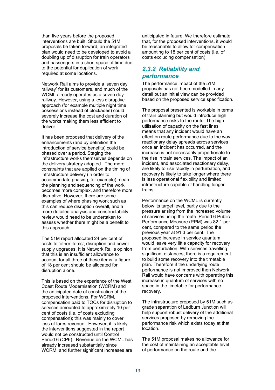than five years before the proposed interventions are built. Should the 51M proposals be taken forward, an integrated plan would need to be developed to avoid a doubling up of disruption for train operators and passengers in a short space of time due to the potential for duplication of work required at some locations.

Network Rail aims to provide a 'seven day railway' for its customers, and much of the WCML already operates as a seven day railway. However, using a less disruptive approach (for example multiple night time possessions instead of blockades) could severely increase the cost and duration of the works making them less efficient to deliver.

It has been proposed that delivery of the enhancements (and by definition the introduction of service benefits) could be phased over a period. Staging the infrastructure works themselves depends on the delivery strategy adopted. The more constraints that are applied on the timing of infrastructure delivery (in order to accommodate phasing, for example) mean the planning and sequencing of the work becomes more complex, and therefore more disruptive. However, there are some examples of where phasing work such as this can reduce disruption overall, and a more detailed analysis and constructability review would need to be undertaken to assess whether there might be a benefit to this approach.

The 51M report allocated 24 per cent of costs to 'other items', disruption and power supply upgrades. It is Network Rail's opinion that this is an insufficient allowance to account for all three of these items; a figure of 18 per cent should be allocated for disruption alone.

This is based on the experience of the West Coast Route Modernisation (WCRM) and the anticipated date of construction of the proposed interventions. For WCRM, compensation paid to TOCs for disruption to services amounted to approximately 10 per cent of costs (i.e. of costs excluding compensation); this was mainly to cover loss of fares revenue. However, it is likely the interventions suggested in the report would not be constructed until Control Period 6 (CP6). Revenue on the WCML has already increased substantially since WCRM, and further significant increases are

anticipated in future. We therefore estimate that, for the proposed interventions, it would be reasonable to allow for compensation amounting to 18 per cent of costs (i.e. of costs excluding compensation).

### *2.3.2 Reliability and performance*

The performance impact of the 51M proposals has not been modelled in any detail but an initial view can be provided based on the proposed service specification.

The proposal presented is workable in terms of train planning but would introduce high performance risks to the route. The high utilisation of capacity on the fast lines means that any incident would have an effect on route performance due to the way reactionary delay spreads across services once an incident has occurred, and the increase is not necessarily proportionate to the rise in train services. The impact of an incident, and associated reactionary delay, are likely to rise rapidly in perturbation, and recovery is likely to take longer where there is less operational flexibility and limited infrastructure capable of handling longer trains.

Performance on the WCML is currently below its target level, partly due to the pressure arising from the increased volume of services using the route. Period 6 Public Performance Measure (PPM) was 82.1 per cent, compared to the same period the previous year at 91.3 per cent. The proposed increase in service quantum would leave very little capacity for recovery from perturbation. With services travelling significant distances, there is a requirement to build some recovery into the timetable plan. Therefore if the underlying route performance is not improved then Network Rail would have concerns with operating this increase in quantum of services with no space in the timetable for performance recovery.

The infrastructure proposed by 51M such as grade separation of Ledburn Junction will help support robust delivery of the additional services proposed by removing the performance risk which exists today at that location.

The 51M proposal makes no allowance for the cost of maintaining an acceptable level of performance on the route and the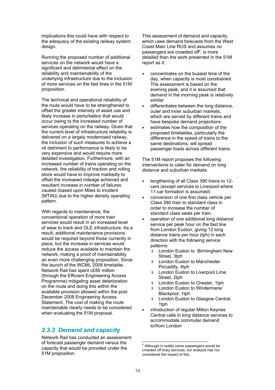implications this could have with respect to the adequacy of the existing railway system design.

Running the proposed number of additional services on the network would have a significant and detrimental effect on the reliability and maintainability of the underlying infrastructure due to the inclusion of more services on the fast lines in the 51M proposition.

The technical and operational reliability of the route would have to be strengthened to offset the greater intensity of asset use and likely increase in perturbation that would occur owing to the increased number of services operating on the railway. Given that the current level of infrastructure reliability is delivered on a largely modernised railway, the inclusion of such measures to achieve a nil detriment to performance is likely to be very expensive and would require more detailed investigation. Furthermore, with an increased number of trains operating on the network, the reliability of traction and rolling stock would have to improve markedly to offset the increased mileage achieved and resultant increase in number of failures caused (based upon Miles to Incident (MTIN)) due to the higher density operating pattern.

With regards to maintenance, the conventional operation of more train services would result in an increased level of wear to track and OLE infrastructure. As a result, additional maintenance provisions would be required beyond those currently in place, but the increase in services would reduce the access available to maintain the network, making a proof of maintainability an even more challenging proposition. Since the launch of the WCML 2008 timetable, Network Rail has spent c£80 million (through the Efficient Engineering Access Programme) mitigating asset deterioration on the route and doing this within the available provision allowed within the post December 2008 Engineering Access Statement. The cost of making the route maintainable clearly needs to be considered when evaluating the 51M proposal.

# *2.3.3 Demand and capacity*

Network Rail has conducted an assessment of forecast passenger demand versus the capacity that would be provided under the 51M proposition.

This assessment of demand and capacity, which uses demand forecasts from the West Coast Main Line RUS and assumes no passengers are crowded off<sup>8</sup>, is more detailed than the work presented in the 51M report as it:

- concentrates on the busiest time of the day, when capacity is most constrained. The assessment is based on the evening peak, and it is assumed that demand in the morning peak is relatively similar
- differentiates between the long distance, outer and inner suburban markets, which are served by different trains and have bespoke demand projections
- estimates how the composition of the proposed timetables, particularly the difference in the speed of trains to the same destinations, will spread passenger loads across different trains.

The 51M report proposes the following interventions to cater for demand on long distance and suburban markets:

- lengthening of all Class 390 trains to 12 cars (except services to Liverpool where 11-car formation is assumed)
- conversion of one first class vehicle per Class 390 train to standard class in order to increase the number of standard class seats per train.
- operation of one additional long distance service per peak hour on the fast line from London Euston, giving 12 long distance trains per hour (tph) in each direction with the following service patterns:
	- London Euston to Birmingham New Street, 3tph
	- London Euston to Manchester Piccadilly, 4tph
	- **I** London Euston to Liverpool Lime Street, 2tph
	- **I** London Euston to Chester, 1tph
	- **I** London Euston to Windermere/ Blackpool, 1tph
	- **I** London Euston to Glasgow Central, 1tph
- introduction of regular Milton Keynes Central calls in long distance services to accommodate commuter demand to/from London

l considered the impact of this.<br>14  $8$  Although in reality some passengers would be crowded off busy services, our analysis has not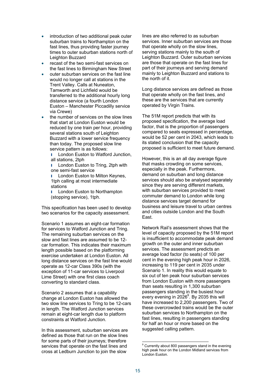- introduction of two additional peak outer suburban trains to Northampton on the fast lines, thus providing faster journey times to outer suburban stations north of Leighton Buzzard
- the fast lines to Birmingham New Street recast of the two semi-fast services on
- outer suburban services on the fast line would no longer call at stations in the Trent Valley. Calls at Nuneaton, Tamworth and Lichfield would be transferred to the additional hourly long distance service (a fourth London Euston – Manchester Piccadilly service via Crewe)
- the number of services on the slow lines that start at London Euston would be reduced by one train per hour, providing several stations south of Leighton Buzzard with a lower service frequency than today. The proposed slow line service pattern is as follows:

**I** London Euston to Watford Junction. all stations, 2tph

**I** London Euston to Tring, 2tph with one semi-fast service

**I** London Euston to Milton Keynes, 1tph calling at most intermediate stations

**I** London Euston to Northampton (stopping service), 1tph.

This specification has been used to develop two scenarios for the capacity assessment.

Scenario 1 assumes an eight-car formation for services to Watford Junction and Tring. The remaining suburban services on the slow and fast lines are assumed to be 12 car formation. This indicates their maximum length possible based on the platforming exercise undertaken at London Euston. All long distance services on the fast line would operate as 12-car Class 390s (with the exception of 11-car services to Liverpool Lime Street) with one first class coach converting to standard class.

Scenario 2 assumes that a capability change at London Euston has allowed the two slow line services to Tring to be 12-cars in length. The Watford Junction services remain at eight-car length due to platform constraints at Watford Junction.

In this assessment, suburban services are defined as those that run on the slow lines for some parts of their journeys; therefore services that operate on the fast lines and cross at Ledburn Junction to join the slow

lines are also referred to as suburban services. Inner suburban services are those that operate wholly on the slow lines, serving stations mainly to the south of Leighton Buzzard. Outer suburban services are those that operate on the fast lines for part of their journeys and serving demand mainly to Leighton Buzzard and stations to the north of it.

Long distance services are defined as those that operate wholly on the fast lines, and these are the services that are currently operated by Virgin Trains.

proposed is sufficient to meet future demand.<br>However, this is an all day average figure The 51M report predicts that with its proposed specification, the average load factor, that is the proportion of passengers compared to seats expressed in percentage, would be 52 per cent in 2043, which leads to its stated conclusion that the capacity

that masks crowding on some services, especially in the peak. Furthermore, demand on suburban and long distance services should also be analysed separately since they are serving different markets, with suburban services provided to meet commuter demand to London while long distance services target demand for business and leisure travel to urban centres and cities outside London and the South East.

Network Rail's assessment shows that the level of capacity proposed by the 51M report is insufficient to accommodate peak demand growth on the outer and inner suburban services. The assessment predicts an average load factor (to seats) of 100 per cent in the evening high peak hour in 2026, increasing to 119 per cent in 2035 under Scenario 1. In reality this would equate to six out of ten peak hour suburban services from London Euston with more passengers than seats resulting in 1,300 suburban passengers standing in the busiest hour every evening in 2026 $^{\circ}$ . By 2035 this will have increased to 2,200 passengers. Two of these overcrowded trains would be the outer suburban services to Northampton on the fast lines, resulting in passengers standing for half an hour or more based on the suggested calling pattern.

l

<sup>&</sup>lt;sup>9</sup> Currently about 800 passengers stand in the evening high peak hour on the London Midland services from London Euston.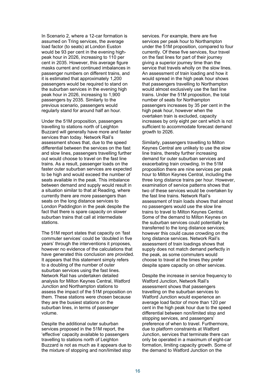In Scenario 2, where a 12-car formation is assumed on Tring services, the average load factor (to seats) at London Euston would be 93 per cent in the evening highpeak hour in 2026, increasing to 110 per cent in 2035. However, this average figure masks current and continued imbalances in passenger numbers on different trains, and it is estimated that approximately 1,200 passengers would be required to stand on the suburban services in the evening high peak hour in 2026, increasing to 1,900 passengers by 2035. Similarly to the previous scenario, passengers would regularly stand for around half an hour.

Under the 51M proposition, passengers travelling to stations north of Leighton Buzzard will generally have more and faster services than today. Network Rail's assessment shows that, due to the speed differential between the services on the fast and slow lines, passengers travelling further out would choose to travel on the fast line trains. As a result, passenger loads on the faster outer suburban services are expected to be high and would exceed the number of seats available in the peak. This imbalance between demand and supply would result in a situation similar to that at Reading, where currently there are more passengers than seats on the long distance services to London Paddington in the peak despite the fact that there is spare capacity on slower suburban trains that call at intermediate stations.<br>The 51M report states that capacity on 'fast

commuter services' could be 'doubled in five years' through the interventions it proposes, however no evidence of the calculations that have generated this conclusion are provided. It appears that this statement simply refers to a doubling of the number of outer suburban services using the fast lines. Network Rail has undertaken detailed analysis for Milton Keynes Central, Watford Junction and Northampton stations to assess the impact of the 51M proposition on them. These stations were chosen because they are the busiest stations on the suburban lines, in terms of passenger volume.

Despite the additional outer suburban services proposed in the 51M report, the 'effective' capacity available to passengers travelling to stations north of Leighton Buzzard is not as much as it appears due to the mixture of stopping and non/limited stop

services. For example, there are five services per peak hour to Northampton under the 51M proposition, compared to four currently. Of these five services, four travel on the fast lines for part of their journey giving a superior journey time than the service that travels wholly on the slow lines. An assessment of train loading and how it would spread in the high peak hour shows that passengers travelling to Northampton would almost exclusively use the fast line trains. Under the 51M proposition, the total number of seats for Northampton passengers increases by 35 per cent in the high peak hour, however when the overtaken train is excluded, capacity increases by only eight per cent which is not sufficient to accommodate forecast demand growth to 2026.

Similarly, passengers travelling to Milton Keynes Central are unlikely to use the slow line trains, thereby further increasing demand for outer suburban services and exacerbating train crowding. In the 51M proposition there are nine services per peak hour to Milton Keynes Central, including the three long distance trains per hour. However, examination of service patterns shows that two of these services would be overtaken by the fast line trains. Network Rail's assessment of train loads shows that almost no passengers would use the slow line trains to travel to Milton Keynes Central. Some of the demand to Milton Keynes on the suburban services could potentially be transferred to the long distance services; however this could cause crowding on the long distance services. Network Rail's assessment of train loadings shows that supply does not match demand perfectly in the peak, as some commuters would choose to travel at the times they prefer despite spare capacity on other services.

 Watford Junction, Network Rail's Despite the increase in service frequency to assessment shows that passengers travelling on the suburban services to Watford Junction would experience an average load factor of more than 120 per cent in the high peak hour due to the speed differential between non/limited stop and stopping services, and passengers' preference of when to travel. Furthermore, due to platform constraints at Watford Junction, services that terminate there can only be operated in a maximum of eight-car formation, limiting capacity growth. Some of the demand to Watford Junction on the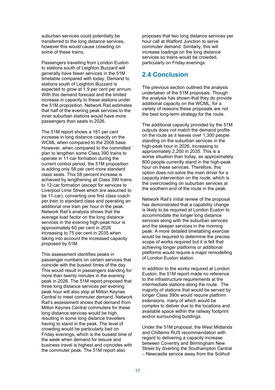suburban services could potentially be transferred to the long distance services, however this would cause crowding on some of these trains.

Passengers travelling from London Euston to stations south of Leighton Buzzard will generally have fewer services in the 51M timetable compared with today. Demand to stations south of Leighton Buzzard is expected to grow at 1.9 per cent per annum. With this demand forecast and the limited increase in capacity to these stations under the 51M proposition, Network Rail estimates that half of the evening peak services to the inner suburban stations would have more passengers than seats in 2026.

The 51M report shows a 181 per cent increase in long distance capacity on the WCML when compared to the 2008 base. However, when compared to the committed plan to lengthen some Class 390 trains to operate in 11-car formation during the current control period, the 51M proposition is adding only 58 per cent more standard class seats. This 58 percent increase is achieved by lengthening all Class 390 trains to 12-car formation (except for services to Liverpool Lime Street which are assumed to be 11-car), converting one first class coach per train to standard class and operating an additional one train per hour in the peak. Network Rail's analysis shows that the average load factor on the long distance services in the evening high-peak hour is approximately 60 per cent in 2026 increasing to 75 per cent in 2035 when taking into account the increased capacity proposed by 51M.

This assessment identifies peaks in passenger numbers on certain services that coincide with the busiest times of the day. This would result in passengers standing for more than twenty minutes in the evening peak in 2026. The 51M report proposed that three long distance services per evening peak hour will also stop at Milton Keynes Central to meet commuter demand. Network Rail's assessment shows that demand from Milton Keynes Central commuters for these long distance services would be high, resulting in some long distance travellers having to stand in the peak. The level of crowding would be particularly bad on Friday evenings, which is the busiest time of the week when demand for leisure and business travel is highest and coincides with the commuter peak. The 51M report also

proposes that two long distance services per hour call at Watford Junction to serve commuter demand. Similarly, this will increase loadings on the long distance services so trains would be crowded, particularly on Friday evenings.

# **2.4 Conclusion**

The previous section outlined the analysis undertaken of the 51M proposals. Though the analysis has shown that they do provide additional capacity on the WCML, for a variety of reasons these proposals are not the best long-term strategy for the route.

The additional capacity provided by the 51M outputs does not match the demand profile on the route as it leaves over 1,300 people standing on the suburban services in the high-peak hour in 2026, increasing to approximately 2,200 in 2035. This is a worse situation than today, as approximately 800 people currently stand in the high-peak hour on these services. Therefore, this option does not solve the main driver for a capacity intervention on the route, which is the overcrowding on suburban services at the southern end of the route in the peak.

Network Rail's initial review of the proposal has demonstrated that a capability change is likely to be required at London Euston to accommodate the longer long distance services along with the suburban services and the sleeper services in the morning peak. A more detailed timetabling exercise would be required to determine the precise scope of works required but it is felt that achieving longer platforms or additional platforms would require a major remodelling of London Euston station.

In addition to the works required at London Euston, the 51M report made no reference to the infrastructure requirements at the intermediate stations along the route. The majority of stations that would be served by longer Class 390s would require platform extensions, many of which would be complex to deliver due to the locations and available space within the railway footprint and/or surrounding buildings.

Under the 51M proposal, the West Midlands and Chilterns RUS recommendation with regard to delivering a capacity increase between Coventry and Birmingham New Street by diverting the Southampton Central – Newcastle service away from the Solihull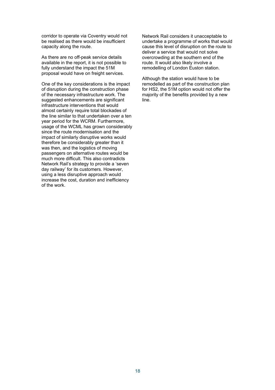corridor to operate via Coventry would not be realised as there would be insufficient capacity along the route.

As there are no off-peak service details available in the report, it is not possible to fully understand the impact the 51M proposal would have on freight services.

One of the key considerations is the impact of disruption during the construction phase of the necessary infrastructure work. The suggested enhancements are significant infrastructure interventions that would almost certainly require total blockades of the line similar to that undertaken over a ten year period for the WCRM. Furthermore, usage of the WCML has grown considerably since the route modernisation and the impact of similarly disruptive works would therefore be considerably greater than it was then, and the logistics of moving passengers on alternative routes would be much more difficult. This also contradicts Network Rail's strategy to provide a 'seven day railway' for its customers. However, using a less disruptive approach would increase the cost, duration and inefficiency of the work.

Network Rail considers it unacceptable to undertake a programme of works that would cause this level of disruption on the route to deliver a service that would not solve overcrowding at the southern end of the route. It would also likely involve a remodelling of London Euston station.

Although the station would have to be remodelled as part of the construction plan for HS2, the 51M option would not offer the majority of the benefits provided by a new line.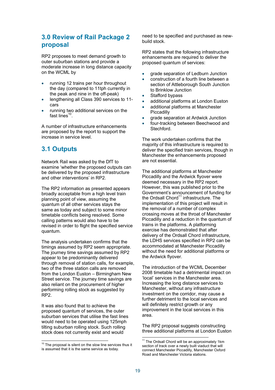# **3.0 Review of Rail Package 2 proposal**

RP2 proposes to meet demand growth to outer suburban stations and provide a moderate increase in long distance capacity on the WCML by

- running 12 trains per hour throughout the day (compared to 11tph currently in the peak and nine in the off-peak)
- cars lengthening all Class 390 services to 11-
- running two additional services on the fast lines $10$ .

A number of infrastructure enhancements are proposed by the report to support the increase in service level.

# **3.1 Outputs**

Network Rail was asked by the DfT to examine 'whether the proposed outputs can be delivered by the proposed infrastructure and other interventions' in RP2.

The RP2 information as presented appears broadly acceptable from a high level train planning point of view, assuming the quantum of all other services stays the same as today and subject to some minor timetable conflicts being resolved. Some calling patterns would also have to be revised in order to flight the specified service quantum.

The analysis undertaken confirms that the timings assumed by RP2 seem appropriate. The journey time savings assumed by RP2 appear to be predominantly delivered through removal of station calls, for example, two of the three station calls are removed from the London Euston – Birmingham New Street service. The journey time savings are also reliant on the procurement of higher performing rolling stock as suggested by RP2.

It was also found that to achieve the proposed quantum of services, the outer suburban services that utilise the fast lines would need to be operated using 125mph tilting suburban rolling stock. Such rolling stock does not currently exist and would

 $\overline{a}$ 

need to be specified and purchased as newbuild stock.

RP2 states that the following infrastructure enhancements are required to deliver the proposed quantum of services:

- grade separation of Ledburn Junction
- construction of a fourth line between a section of Attleborough South Junction to Brinklow Junction
- Stafford bypass
- additional platforms at London Euston
- additional platforms at Manchester **Piccadilly**
- grade separation at Ardwick Junction
- four-tracking between Beechwood and Stechford.

The work undertaken confirms that the majority of this infrastructure is required to deliver the specified train services, though in Manchester the enhancements proposed are not essential.

The additional platforms at Manchester Piccadilly and the Ardwick flyover were deemed necessary in the RP2 report. However, this was published prior to the Government's announcement of funding for the Ordsall  $Chord<sup>11</sup>$  infrastructure. The implementation of this project will result in the removal of a number of complex crossing moves at the throat of Manchester Piccadilly and a reduction in the quantum of trains in the platforms. A platforming exercise has demonstrated that after delivery of the Ordsall Chord infrastructure, the LDHS services specified in RP2 can be accommodated at Manchester Piccadilly without the need for additional platforms or the Ardwick flyover.

The introduction of the WCML December 2008 timetable had a detrimental impact on 'local' services in the Manchester area. Increasing the long distance services to Manchester, without any infrastructure investment on the corridor, may cause a further detriment to the local services and will definitely restrict growth or any improvement in the local services in this area.

The RP2 proposal suggests constructing three additional platforms at London Euston

 $10$  The proposal is silent on the slow line services thus i is assumed that it is the same service as today.

<sup>&</sup>lt;sup>11</sup> The Ordsall Chord will be an approximately 1km section of track over a newly built viaduct that will connect Manchester Piccadilly, Manchester Oxford Road and Manchester Victoria stations.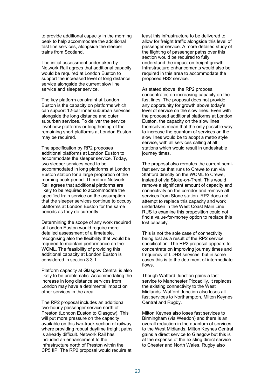to provide additional capacity in the morning peak to help accommodate the additional fast line services, alongside the sleeper trains from Scotland.

service and sleeper service. The initial assessment undertaken by Network Rail agrees that additional capacity would be required at London Euston to support the increased level of long distance service alongside the current slow line

The key platform constraint at London Euston is the capacity on platforms which can support 12-car inner suburban services alongside the long distance and outer suburban services. To deliver the service level new platforms or lengthening of the remaining short platforms at London Euston may be required.

The specification by RP2 proposes additional platforms at London Euston to accommodate the sleeper service. Today, two sleeper services need to be accommodated in long platforms at London Euston station for a large proportion of the morning peak period. Therefore Network Rail agrees that additional platforms are likely to be required to accommodate the specified train service on the assumption that the sleeper services continue to occupy platforms at London Euston for the same periods as they do currently.

Determining the scope of any work required at London Euston would require more detailed assessment of a timetable, recognising also the flexibility that would be required to maintain performance on the WCML. The feasibility of providing this additional capacity at London Euston is considered in section 3.3.1.

Platform capacity at Glasgow Central is also likely to be problematic. Accommodating the increase in long distance services from London may have a detrimental impact on other services in the area.

The RP2 proposal includes an additional two-hourly passenger service north of Preston (London Euston to Glasgow). This will put more pressure on the capacity available on this two-track section of railway, where providing robust daytime freight paths is already difficult. Network Rail has included an enhancement to the infrastructure north of Preston within the CP5 IIP. The RP2 proposal would require at

least this infrastructure to be delivered to allow for freight traffic alongside this level of passenger service. A more detailed study of the flighting of passenger paths over this section would be required to fully understand the impact on freight growth. Infrastructure enhancements would also be required in this area to accommodate the proposed HS2 service.

As stated above, the RP2 proposal concentrates on increasing capacity on the fast lines. The proposal does not provide any opportunity for growth above today's level of service on the slow lines. Even with the proposed additional platforms at London Euston, the capacity on the slow lines themselves mean that the only possible way to increase the quantum of services on the slow lines would be to adopt a metro style service, with all services calling at all stations which would result in undesirable journey times.

The proposal also reroutes the current semifast service that runs to Crewe to run via Stafford directly on the WCML to Crewe, instead of via Stoke-on-Trent. This would remove a significant amount of capacity and connectivity on the corridor and remove all services from Stone station. RP2 does not attempt to replace this capacity and work undertaken in the West Coast Main Line RUS to examine this proposition could not find a value-for-money option to replace this lost capacity.

This is not the sole case of connectivity being lost as a result of the RP2 service specification. The RP2 proposal appears to concentrate on improving journey times and frequency of LDHS services, but in some cases this is to the detriment of intermediate flows.<br>Though Watford Junction gains a fast

service to Manchester Piccadilly, it replaces the existing connectivity to the West Midlands. Watford Junction also loses all fast services to Northampton, Milton Keynes Central and Rugby.

Milton Keynes also loses fast services to Birmingham (via Weedon) and there is an overall reduction in the quantum of services to the West Midlands. Milton Keynes Central gains a direct service to Glasgow but this is at the expense of the existing direct service to Chester and North Wales. Rugby also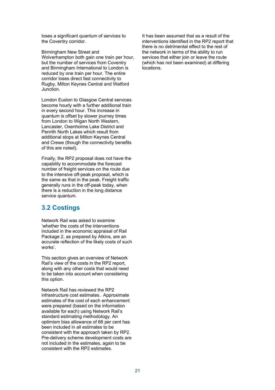loses a significant quantum of services to the Coventry corridor.

Birmingham New Street and Wolverhampton both gain one train per hour, but the number of services from Coventry and Birmingham International to London is reduced by one train per hour. The entire corridor loses direct fast connectivity to Rugby, Milton Keynes Central and Watford Junction.

London Euston to Glasgow Central services become hourly with a further additional train in every second hour. This increase in quantum is offset by slower journey times from London to Wigan North Western, Lancaster, Oxenholme Lake District and Penrith North Lakes which result from additional stops at Milton Keynes Central and Crewe (though the connectivity benefits of this are noted).

Finally, the RP2 proposal does not have the capability to accommodate the forecast number of freight services on the route due to the intensive off-peak proposal, which is the same as that in the peak. Freight traffic generally runs in the off-peak today, when there is a reduction in the long distance service quantum.

# **3.2 Costings**

Network Rail was asked to examine 'whether the costs of the interventions included in the economic appraisal of Rail Package 2, as prepared by Atkins, are an accurate reflection of the likely costs of such works'.

This section gives an overview of Network Rail's view of the costs in the RP2 report, along with any other costs that would need to be taken into account when considering this option.

Network Rail has reviewed the RP2 infrastructure cost estimates. Approximate estimates of the cost of each enhancement were prepared (based on the information available for each) using Network Rail's standard estimating methodology. An optimism bias allowance of 66 per cent has been included in all estimates to be consistent with the approach taken by RP2. Pre-delivery scheme development costs are not included in the estimates, again to be consistent with the RP2 estimates.

It has been assumed that as a result of the interventions identified in the RP2 report that there is no detrimental effect to the rest of the network in terms of the ability to run services that either join or leave the route (which has not been examined) at differing locations.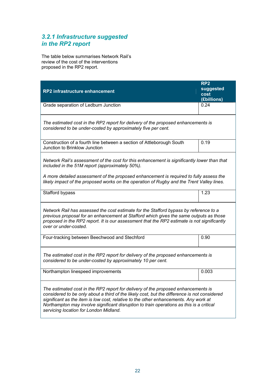# *3.2.1 Infrastructure suggested in the RP2 report*

The table below summarises Network Rail's review of the cost of the interventions proposed in the RP2 report.

|                                                                                                                                                                                                                                                                                                                                                                                                                 | RP <sub>2</sub><br>suggested |  |
|-----------------------------------------------------------------------------------------------------------------------------------------------------------------------------------------------------------------------------------------------------------------------------------------------------------------------------------------------------------------------------------------------------------------|------------------------------|--|
| RP2 infrastructure enhancement                                                                                                                                                                                                                                                                                                                                                                                  | cost                         |  |
|                                                                                                                                                                                                                                                                                                                                                                                                                 | (£billions)<br>0.24          |  |
| Grade separation of Ledburn Junction                                                                                                                                                                                                                                                                                                                                                                            |                              |  |
| The estimated cost in the RP2 report for delivery of the proposed enhancements is<br>considered to be under-costed by approximately five per cent.                                                                                                                                                                                                                                                              |                              |  |
| Construction of a fourth line between a section of Attleborough South<br>Junction to Brinklow Junction                                                                                                                                                                                                                                                                                                          | 0.19                         |  |
| Network Rail's assessment of the cost for this enhancement is significantly lower than that<br>included in the 51M report (approximately 50%).                                                                                                                                                                                                                                                                  |                              |  |
| A more detailed assessment of the proposed enhancement is required to fully assess the<br>likely impact of the proposed works on the operation of Rugby and the Trent Valley lines.                                                                                                                                                                                                                             |                              |  |
| Stafford bypass                                                                                                                                                                                                                                                                                                                                                                                                 | 1.23                         |  |
| Network Rail has assessed the cost estimate for the Stafford bypass by reference to a<br>previous proposal for an enhancement at Stafford which gives the same outputs as those<br>proposed in the RP2 report. It is our assessment that the RP2 estimate is not significantly<br>over or under-costed.                                                                                                         |                              |  |
| Four-tracking between Beechwood and Stechford                                                                                                                                                                                                                                                                                                                                                                   | 0.90                         |  |
| The estimated cost in the RP2 report for delivery of the proposed enhancements is<br>considered to be under-costed by approximately 10 per cent.                                                                                                                                                                                                                                                                |                              |  |
| Northampton linespeed improvements                                                                                                                                                                                                                                                                                                                                                                              | 0.003                        |  |
| The estimated cost in the RP2 report for delivery of the proposed enhancements is<br>considered to be only about a third of the likely cost, but the difference is not considered<br>significant as the item is low cost, relative to the other enhancements. Any work at<br>Northampton may involve significant disruption to train operations as this is a critical<br>servicing location for London Midland. |                              |  |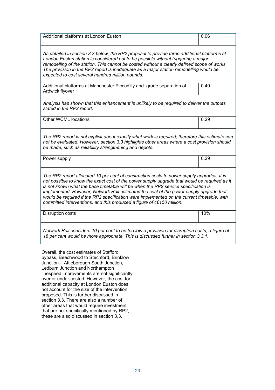| Additional platforms at London Euston                                                                                                                                                                                                                                                                                                                                                                                                                                                                                                             | 0.06 |
|---------------------------------------------------------------------------------------------------------------------------------------------------------------------------------------------------------------------------------------------------------------------------------------------------------------------------------------------------------------------------------------------------------------------------------------------------------------------------------------------------------------------------------------------------|------|
| As detailed in section 3.3 below, the RP2 proposal to provide three additional platforms at<br>London Euston station is considered not to be possible without triggering a major<br>remodelling of the station. This cannot be costed without a clearly defined scope of works.<br>The provision in the RP2 report is inadequate as a major station remodelling would be<br>expected to cost several hundred million pounds.                                                                                                                      |      |
| Additional platforms at Manchester Piccadilly and grade separation of<br>Ardwick flyover                                                                                                                                                                                                                                                                                                                                                                                                                                                          | 0.40 |
| Analysis has shown that this enhancement is unlikely to be required to deliver the outputs<br>stated in the RP2 report.                                                                                                                                                                                                                                                                                                                                                                                                                           |      |
| Other WCML locations                                                                                                                                                                                                                                                                                                                                                                                                                                                                                                                              | 0.29 |
| The RP2 report is not explicit about exactly what work is required; therefore this estimate can<br>not be evaluated. However, section 3.3 highlights other areas where a cost provision should<br>be made, such as reliability strengthening and depots.                                                                                                                                                                                                                                                                                          |      |
| Power supply                                                                                                                                                                                                                                                                                                                                                                                                                                                                                                                                      | 0.29 |
| The RP2 report allocated 10 per cent of construction costs to power supply upgrades. It is<br>not possible to know the exact cost of the power supply upgrade that would be required as it<br>is not known what the base timetable will be when the RP2 service specification is<br>implemented. However, Network Rail estimated the cost of the power supply upgrade that<br>would be required if the RP2 specification were implemented on the current timetable, with<br>committed interventions, and this produced a figure of c£150 million. |      |
| Disruption costs                                                                                                                                                                                                                                                                                                                                                                                                                                                                                                                                  | 10%  |
| Network Rail considers 10 per cent to be too low a provision for disruption costs, a figure of<br>18 per cent would be more appropriate. This is discussed further in section 3.3.1.                                                                                                                                                                                                                                                                                                                                                              |      |

Overall, the cost estimates of Stafford bypass, Beechwood to Stechford, Brinklow Junction – Attleborough South Junction, Ledburn Junction and Northampton linespeed improvements are not significantly over or under-costed. However, the cost for additional capacity at London Euston does not account for the size of the intervention proposed. This is further discussed in section 3.3. There are also a number of other areas that would require investment that are not specifically mentioned by RP2, these are also discussed in section 3.3.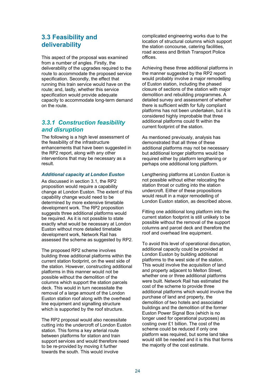# **3.3 Feasibility and deliverability**

This aspect of the proposal was examined from a number of angles. Firstly, the deliverability of the upgrades required to the route to accommodate the proposed service specification. Secondly, the effect that running this train service would have on the route; and, lastly, whether this service specification would provide adequate capacity to accommodate long-term demand on the route.

### *3.3.1 Construction feasibility and disruption*

The following is a high level assessment of the feasibility of the infrastructure enhancements that have been suggested in the RP2 report, along with any other interventions that may be necessary as a result.

### *Additional capacity at London Euston*

As discussed in section 3.1, the RP2 proposition would require a capability change at London Euston. The extent of this capability change would need to be determined by more extensive timetable development work. The RP2 proposition suggests three additional platforms would be required. As it is not possible to state exactly what would be necessary at London Euston without more detailed timetable development work, Network Rail has assessed the scheme as suggested by RP2.

The proposed RP2 scheme involves building three additional platforms within the current station footprint, on the west side of the station. However, constructing additional platforms in this manner would not be possible without the demolition of the columns which support the station parcels deck. This would in turn necessitate the removal of a large amount of the London Euston station roof along with the overhead line equipment and signalling structure which is supported by the roof structure.

The RP2 proposal would also necessitate cutting into the undercroft of London Euston station. This forms a key arterial route between platforms for station and train support services and would therefore need to be re-provided by moving it further towards the south. This would involve

offices. complicated engineering works due to the location of structural columns which support the station concourse, catering facilities, road access and British Transport Police

Achieving these three additional platforms in the manner suggested by the RP2 report would probably involve a major remodelling of Euston station, including the phased closure of sections of the station with major demolition and rebuilding programmes. A detailed survey and assessment of whether there is sufficient width for fully compliant platforms has not been undertaken, but it is considered highly improbable that three additional platforms could fit within the current footprint of the station.

As mentioned previously, analysis has demonstrated that all three of these additional platforms may not be necessary but additional longer platforms would be required either by platform lengthening or perhaps one additional long platform.

Lengthening platforms at London Euston is not possible without either relocating the station throat or cutting into the station undercroft. Either of these propositions would result in a major remodelling of London Euston station, as described above.

Fitting one additional long platform into the current station footprint is still unlikely to be possible without the removal of the support columns and parcel deck and therefore the roof and overhead line equipment.

To avoid this level of operational disruption, additional capacity could be provided at London Euston by building additional platforms to the west side of the station. This would involve the acquisition of land and property adjacent to Melton Street, whether one or three additional platforms were built. Network Rail has estimated the cost of the scheme to provide three additional platforms which would involve the purchase of land and property, the demolition of two hotels and associated buildings and the demolition of the former Euston Power Signal Box (which is no longer used for operational purposes) as costing over £1 billion. The cost of the scheme could be reduced if only one platform was required, but some land take would still be needed and it is this that forms the majority of the cost estimate.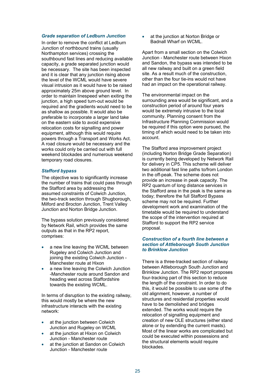#### *Grade separation of Ledburn Junction*

In order to remove the conflict at Ledburn Junction of northbound trains (usually Northampton services) crossing the southbound fast lines and reducing available capacity, a grade separated junction would be necessary. The site has been inspected and it is clear that any junction rising above the level of the WCML would have severe visual intrusion as it would have to be raised approximately 25m above ground level. In order to maintain linespeed when exiting the junction, a high speed turn-out would be required and the gradients would need to be as shallow as possible. It would also be preferable to incorporate a larger land take on the eastern side to avoid expensive relocation costs for signalling and power equipment, although this would require powers through a Transport and Works Act. A road closure would be necessary and the works could only be carried out with full weekend blockades and numerous weekend temporary road closures.

### *Stafford bypass*

Junction and Norton Bridge Junction. The objective was to significantly increase the number of trains that could pass through the Stafford area by addressing the assumed constraints of Colwich Junction, the two-track section through Shugborough, Milford and Brocton Junction, Trent Valley

The bypass solution previously considered by Network Rail, which provides the same outputs as that in the RP2 report, comprises:

- a new line leaving the WCML between Rugeley and Colwich Junction and joining the existing Colwich Junction - Manchester route at Hixon
- a new line leaving the Colwich Junction -Manchester route around Sandon and heading west across Staffordshire towards the existing WCML.

In terms of disruption to the existing railway, this would mostly be where the new infrastructure interacts with the existing network:

- at the junction between Colwich Junction and Rugeley on WCML
- at the junction at Hixon on Colwich Junction - Manchester route
- at the junction at Sandon on Colwich Junction - Manchester route

 at the junction at Norton Bridge or Badnall Wharf on WCML.

Apart from a small section on the Colwich Junction - Manchester route between Hixon and Sandon, the bypass was intended to be all new railway and built on a green field site. As a result much of the construction, other than the four tie-ins would not have had an impact on the operational railway.

The environmental impact on the surrounding area would be significant, and a construction period of around four years would be extremely intrusive to the local community. Planning consent from the Infrastructure Planning Commission would be required if this option were pursued, the timing of which would need to be taken into account.

The Stafford area improvement project (including Norton Bridge Grade Separation) is currently being developed by Network Rail for delivery in CP5. This scheme will deliver two additional fast line paths to/from London in the off-peak. The scheme does not provide an increase in peak capacity. The RP2 quantum of long distance services in the Stafford area in the peak is the same as today; therefore the full Stafford Bypass scheme may not be required. Further development work and examination of the timetable would be required to understand the scope of the intervention required at Stafford to support the RP2 service proposal.

### *Construction of a fourth line between a section of Attleborough South Junction to Brinklow Junction*

There is a three-tracked section of railway between Attleborough South Junction and Brinklow Junction. The RP2 report proposes four-tracking part of this section to reduce the length of the constraint. In order to do this, it would be possible to use some of the old alignment, however, a number of structures and residential properties would have to be demolished and bridges extended. The works would require the relocation of signalling equipment and creation of new OLE structures (either stand alone or by extending the current masts). Most of the linear works are complicated but could be executed within possessions and the structural elements would require blockades.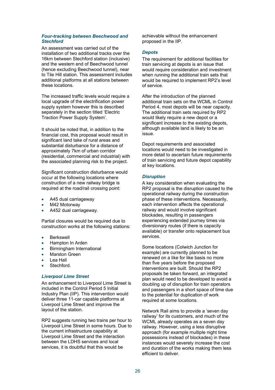### *Four-tracking between Beechwood and Stechford*

An assessment was carried out of the installation of two additional tracks over the 16km between Stechford station (inclusive) and the western end of Beechwood tunnel (hence excluding Beechwood tunnel), near to Tile Hill station. This assessment includes additional platforms at all stations between these locations.

The increased traffic levels would require a local upgrade of the electrification power supply system however this is described separately in the section titled 'Electric Traction Power Supply System'.

It should be noted that, in addition to the financial cost, this proposal would result in significant land take of rural areas and substantial disturbance for a distance of approximately 7km of urban corridor (residential, commercial and industrial) with the associated planning risk to the project.

Significant construction disturbance would occur at the following locations where construction of a new railway bridge is required at the road/rail crossing point:

- A45 dual carriageway
- M42 Motorway
- A452 dual carriageway.

Partial closures would be required due to construction works at the following stations:

- **•** Berkswell
- Hampton In Arden
- Birmingham International
- Marston Green
- Lea Hall
- Stechford.

#### *Liverpool Lime Street*

An enhancement to Liverpool Lime Street is included in the Control Period 5 Initial Industry Plan (IIP). This intervention would deliver three 11-car capable platforms at Liverpool Lime Street and improve the layout of the station.

RP2 suggests running two trains per hour to Liverpool Lime Street in some hours. Due to the current infrastructure capability at Liverpool Lime Street and the interaction between the LDHS services and local services, it is doubtful that this would be

achievable without the enhancement proposed in the IIP.

#### *Depots*

The requirement for additional facilities for train servicing at depots is an issue that would require consideration and investment when running the additional train sets that would be required to implement RP2's level of service.

After the introduction of the planned additional train sets on the WCML in Control Period 4, most depots will be near capacity. The additional train sets required by RP2 would likely require a new depot or a significant increase to the existing depots, although available land is likely to be an issue.

Depot requirements and associated locations would need to be investigated in more detail to ascertain future requirements of train servicing and future depot capability at key locations.

### *Disruption*

services. A key consideration when evaluating the RP2 proposal is the disruption caused to the operational railway during the construction phase of these interventions. Necessarily, each intervention affects the operational railway and would involve significant blockades, resulting in passengers experiencing extended journey times via diversionary routes (if there is capacity available) or transfer onto replacement bus

Some locations (Colwich Junction for example) are currently planned to be renewed on a like for like basis no more than five years before the proposed interventions are built. Should the RP2 proposals be taken forward, an integrated plan would need to be developed to avoid a doubling up of disruption for train operators and passengers in a short space of time due to the potential for duplication of work required at some locations.

Network Rail aims to provide a 'seven day railway' for its customers, and much of the WCML already operates as a seven day railway. However, using a less disruptive approach (for example multiple night time possessions instead of blockades) in these instances would severely increase the cost and duration of the works making them less efficient to deliver.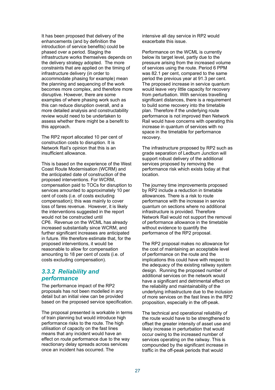It has been proposed that delivery of the enhancements (and by definition the introduction of service benefits) could be phased over a period. Staging the infrastructure works themselves depends on the delivery strategy adopted. The more constraints that are applied on the timing of infrastructure delivery (in order to accommodate phasing for example) mean the planning and sequencing of the work becomes more complex, and therefore more disruptive. However, there are some examples of where phasing work such as this can reduce disruption overall, and a more detailed analysis and constructability review would need to be undertaken to assess whether there might be a benefit to this approach.

The RP2 report allocated 10 per cent of construction costs to disruption. It is Network Rail's opinion that this is an insufficient allowance.

This is based on the experience of the West Coast Route Modernisation (WCRM) and the anticipated date of construction of the proposed interventions. For WCRM, compensation paid to TOCs for disruption to services amounted to approximately 10 per cent of costs (i.e. of costs excluding compensation); this was mainly to cover loss of fares revenue. However, it is likely the interventions suggested in the report would not be constructed until CP6. Revenue on the WCML has already increased substantially since WCRM, and further significant increases are anticipated in future. We therefore estimate that, for the proposed interventions, it would be reasonable to allow for compensation amounting to 18 per cent of costs (i.e. of costs excluding compensation).

### *3.3.2 Reliability and performance*

The performance impact of the RP2 proposals has not been modelled in any detail but an initial view can be provided based on the proposed service specification.

The proposal presented is workable in terms of train planning but would introduce high performance risks to the route. The high utilisation of capacity on the fast lines means that any incident would have an effect on route performance due to the way reactionary delay spreads across services once an incident has occurred. The

intensive all day service in RP2 would exacerbate this issue.

Performance on the WCML is currently below its target level, partly due to the pressure arising from the increased volume of services using the route. Period 6 PPM was 82.1 per cent, compared to the same period the previous year at 91.3 per cent. The proposed increase in service quantum would leave very little capacity for recovery from perturbation. With services travelling significant distances, there is a requirement to build some recovery into the timetable plan. Therefore if the underlying route performance is not improved then Network Rail would have concerns with operating this increase in quantum of services with no space in the timetable for performance recovery.

The infrastructure proposed by RP2 such as grade separation of Ledburn Junction will support robust delivery of the additional services proposed by removing the performance risk which exists today at that location.

The journey time improvements proposed by RP2 include a reduction in timetable allowances. There is a risk to route performance with the increase in service quantum on sections where no additional infrastructure is provided. Therefore Network Rail would not support the removal of performance allowance in the timetable without evidence to quantify the performance of the RP2 proposal.

The RP2 proposal makes no allowance for the cost of maintaining an acceptable level of performance on the route and the implications this could have with respect to the adequacy of the existing railway system design. Running the proposed number of additional services on the network would have a significant and detrimental effect on the reliability and maintainability of the underlying infrastructure due to the inclusion of more services on the fast lines in the RP2 proposition, especially in the off-peak.

The technical and operational reliability of the route would have to be strengthened to offset the greater intensity of asset use and likely increase in perturbation that would occur owing to the increased number of services operating on the railway. This is compounded by the significant increase in traffic in the off-peak periods that would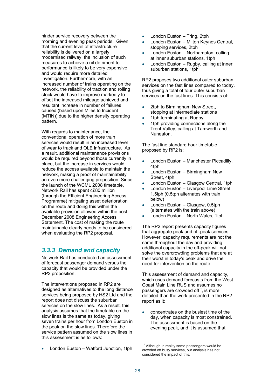hinder service recovery between the morning and evening peak periods. Given that the current level of infrastructure reliability is delivered on a largely modernised railway, the inclusion of such measures to achieve a nil detriment to performance is likely to be very expensive and would require more detailed investigation. Furthermore, with an increased number of trains operating on the network, the reliability of traction and rolling stock would have to improve markedly to offset the increased mileage achieved and resultant increase in number of failures caused (based upon Miles to Incident (MTIN)) due to the higher density operating pattern.

With regards to maintenance, the conventional operation of more train services would result in an increased level of wear to track and OLE infrastructure. As a result, additional maintenance provisions would be required beyond those currently in place, but the increase in services would reduce the access available to maintain the network, making a proof of maintainability an even more challenging proposition. Since the launch of the WCML 2008 timetable, Network Rail has spent c£80 million (through the Efficient Engineering Access Programme) mitigating asset deterioration on the route and doing this within the available provision allowed within the post December 2008 Engineering Access Statement. The cost of making the route maintainable clearly needs to be considered when evaluating the RP2 proposal. hinder save a second to the sample and the current level of the sample agents and the current level of the sample and the sample and the sample and the sample and the sample and the sample and the sample and the sample an

# *3.3.3 Demand and capacity*

Network Rail has conducted an assessment of forecast passenger demand versus the capacity that would be provided under the RP2 proposition.

The interventions proposed in RP2 are designed as alternatives to the long distance services being proposed by HS2 Ltd and the report does not discuss the suburban services on the slow lines. As a result, this analysis assumes that the timetable on the slow lines is the same as today, giving seven trains per hour from London Euston in the peak on the slow lines. Therefore the service pattern assumed on the slow lines in this assessment is as follows:

London Euston - Watford Junction, 1tph

- 
- London Euston Milton Keynes Central, stopping services, 2tph
- London Euston Northampton, calling at inner suburban stations, 1tph
- London Euston Rugby, calling at inner suburban stations, 1tph

 services on the fast lines. This consists of: RP2 proposes two additional outer suburban services on the fast lines compared to today, thus giving a total of four outer suburban

- 2tph to Birmingham New Street, stopping at intermediate stations
- 1tph terminating at Rugby
- 1tph providing connections along the Trent Valley, calling at Tamworth and Nuneaton.

The fast line standard hour timetable proposed by RP2 is:

- London Euston Manchester Piccadilly, 4tph
- London Euston Birmingham New Street, 4tph
- London Euston Glasgow Central, 1tph
- London Euston Liverpool Lime Street 1.5tph (0.5tph alternates with train below)
- London Euston Glasgow, 0.5tph (alternates with the train above)
- London Euston North Wales, 1tph

The RP2 report presents capacity figures that aggregate peak and off-peak services. However, capacity requirements are not the same throughout the day and providing additional capacity in the off-peak will not solve the overcrowding problems that are at their worst in today's peak and drive the need for intervention on the route.

This assessment of demand and capacity, which uses demand forecasts from the West Coast Main Line RUS and assumes no passengers are crowded off<sup>12</sup>, is more detailed than the work presented in the RP2 report as it:

 concentrates on the busiest time of the day, when capacity is most constrained. The assessment is based on the evening peak, and it is assumed that

l

 $12$  Although in reality some passengers would be crowded off busy services, our analysis has not considered the impact of this.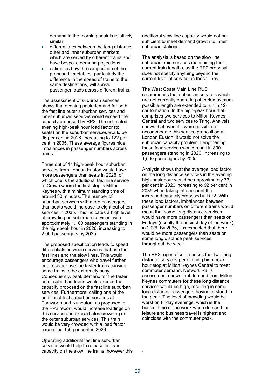demand in the morning peak is relatively similar

- differentiates between the long distance, outer and inner suburban markets, which are served by different trains and have bespoke demand projections
- estimates how the composition of the proposed timetables, particularly the difference in the speed of trains to the same destinations, will spread passenger loads across different trains.

The assessment of suburban services shows that evening peak demand for both the fast line outer suburban services and inner suburban services would exceed the capacity proposed by RP2. The estimated evening high-peak hour load factor (to seats) on the suburban services would be 96 per cent in 2026, increasing to 122 per cent in 2035. These average figures hide imbalances in passenger numbers across trains.

Three out of 11 high-peak hour suburban services from London Euston would have more passengers than seats in 2026, of which one is the additional fast line service to Crewe where the first stop is Milton Keynes with a minimum standing time of around 30 minutes. The number of suburban services with more passengers than seats would increase to eight out of ten services in 2035. This indicates a high level of crowding on suburban services, with approximately 1,100 passengers standing in the high-peak hour in 2026, increasing to 2,000 passengers by 2035.

The proposed specification leads to speed differentials between services that use the fast lines and the slow lines. This would encourage passengers who travel further out to favour use the faster trains causing some trains to be extremely busy. Consequently, peak demand for the faster outer suburban trains would exceed the capacity proposed on the fast line suburban services. Furthermore, calling one of the additional fast suburban services at Tamworth and Nuneaton, as proposed in the RP2 report, would increase loadings on this service and exacerbates crowding on the outer suburban services. This train would be very crowded with a load factor exceeding 150 per cent in 2026.

Operating additional fast line suburban services would help to release on-train capacity on the slow line trains; however this additional slow line capacity would not be sufficient to meet demand growth to inner suburban stations.

The analysis is based on the slow line suburban train services maintaining their current train lengths, as the RP2 proposal does not specify anything beyond the current level of service on these lines.

The West Coast Main Line RUS recommends that suburban services which are not currently operating at their maximum possible length are extended to run in 12 car formation. In the high-peak hour that comprises two services to Milton Keynes Central and two services to Tring. Analysis shows that even if it were possible to accommodate this service proposition at London Euston, it would not solve the suburban capacity problem. Lengthening these four services would result in 800 passengers standing in 2026, increasing to 1,500 passengers by 2035.

Analysis shows that the average load factor on the long distance services in the evening high-peak hour would be approximately 73 per cent in 2026 increasing to 92 per cent in 2035 when taking into account the increased capacity proposed in RP2. With these load factors, imbalances between passenger numbers on different trains would mean that some long distance services would have more passengers than seats on Fridays (usually the busiest day of the week) in 2026. By 2035, it is expected that there would be more passengers than seats on some long distance peak services throughout the week.

The RP2 report also proposes that two long distance services per evening high-peak hour stop at Milton Keynes Central to meet commuter demand. Network Rail's assessment shows that demand from Milton Keynes commuters for these long distance services would be high, resulting in some long distance passengers having to stand in the peak. The level of crowding would be worst on Friday evenings, which is the busiest time of the week when demand for leisure and business travel is highest and coincides with the commuter peak.

.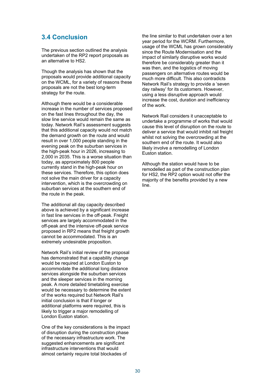# **3.4 Conclusion**

The previous section outlined the analysis undertaken of the RP2 report proposals as an alternative to HS2.

Though the analysis has shown that the proposals would provide additional capacity on the WCML, for a variety of reasons these proposals are not the best long-term strategy for the route.

Although there would be a considerable increase in the number of services proposed on the fast lines throughout the day, the slow line service would remain the same as today. Network Rail's assessment suggests that this additional capacity would not match the demand growth on the route and would result in over 1,000 people standing in the evening peak on the suburban services in the high-peak hour in 2026, increasing to 2,000 in 2035. This is a worse situation than today, as approximately 800 people currently stand in the high-peak hour on these services. Therefore, this option does not solve the main driver for a capacity intervention, which is the overcrowding on suburban services at the southern end of the route in the peak.

The additional all day capacity described above is achieved by a significant increase in fast line services in the off-peak. Freight services are largely accommodated in the off-peak and the intensive off-peak service proposed in RP2 means that freight growth cannot be accommodated. This is an extremely undesirable proposition.

Network Rail's initial review of the proposal has demonstrated that a capability change would be required at London Euston to accommodate the additional long distance services alongside the suburban services and the sleeper services in the morning peak. A more detailed timetabling exercise would be necessary to determine the extent of the works required but Network Rail's initial conclusion is that if longer or additional platforms were required, this is likely to trigger a major remodelling of London Euston station.

One of the key considerations is the impact of disruption during the construction phase of the necessary infrastructure work. The suggested enhancements are significant infrastructure interventions that would almost certainly require total blockades of

the line similar to that undertaken over a ten year period for the WCRM. Furthermore, usage of the WCML has grown considerably since the Route Modernisation and the impact of similarly disruptive works would therefore be considerably greater than it was then, and the logistics of moving passengers on alternative routes would be much more difficult. This also contradicts Network Rail's strategy to provide a 'seven day railway' for its customers. However, using a less disruptive approach would increase the cost, duration and inefficiency of the work.

Network Rail considers it unacceptable to undertake a programme of works that would cause this level of disruption on the route to deliver a service that would inhibit rail freight whilst not solving the overcrowding at the southern end of the route. It would also likely involve a remodelling of London Euston station.

Although the station would have to be remodelled as part of the construction plan for HS2, the RP2 option would not offer the majority of the benefits provided by a new line.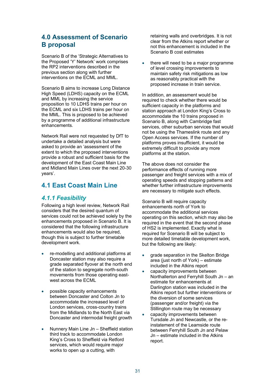# **4.0 Assessment of Scenario B proposal**

Scenario B of the 'Strategic Alternatives to the Proposed 'Y' Network' work comprises the RP2 interventions described in the previous section along with further interventions on the ECML and MML.

Scenario B aims to increase Long Distance High Speed (LDHS) capacity on the ECML and MML by increasing the service proposition to 10 LDHS trains per hour on the ECML and six LDHS trains per hour on the MML. This is proposed to be achieved by a programme of additional infrastructure enhancements.

Network Rail were not requested by DfT to undertake a detailed analysis but were asked to provide an 'assessment of the extent to which the proposed interventions provide a robust and sufficient basis for the development of the East Coast Main Line and Midland Main Lines over the next 20-30 years'.

# **4.1 East Coast Main Line**

### *4.1.1 Feasibility*

Following a high level review, Network Rail considers that the desired quantum of services could not be achieved solely by the enhancements proposed in Scenario B. It is considered that the following infrastructure enhancements would also be required, though this is subject to further timetable development work.

- re-modelling and additional platforms at Doncaster station may also require a grade separated flyover at the north end of the station to segregate north-south movements from those operating eastwest across the ECML
- possible capacity enhancements between Doncaster and Colton Jn to accommodate the increased level of London services, cross-country trains from the Midlands to the North East via Doncaster and intermodal freight growth
- Nunnery Main Line Jn Sheffield station third track to accommodate London King's Cross to Sheffield via Retford services, which would require major works to open up a cutting, with

retaining walls and overbridges. It is not clear from the Atkins report whether or not this enhancement is included in the Scenario B cost estimates

 there will need to be a major programme of level crossing improvements to maintain safety risk mitigations as low as reasonably practical with the proposed increase in train service.

In addition, an assessment would be required to check whether there would be sufficient capacity in the platforms and station approach at London King's Cross to accommodate the 10 trains proposed in Scenario B, along with Cambridge fast services, other suburban services that would not be using the Thameslink route and any Open Access services. If the number of platforms proves insufficient, it would be extremely difficult to provide any more platforms at the station.

The above does not consider the performance effects of running more passenger and freight services with a mix of operating speeds and stopping patterns and whether further infrastructure improvements are necessary to mitigate such effects.

Scenario B will require capacity enhancements north of York to accommodate the additional services operating on this section, which may also be required in the event that the second phase of HS2 is implemented. Exactly what is required for Scenario B will be subject to more detailed timetable development work, but the following are likely:

- grade separation in the Skelton Bridge area (just north of York) – estimate included in the Atkins report
- capacity improvements between Northallerton and Ferryhill South Jn – an estimate for enhancements at Darlington station was included in the Atkins report but further interventions or the diversion of some services (passenger and/or freight) via the Stillington route may be necessary
- capacity improvements between Tursdale Jn and Newcastle, or the reinstatement of the Leamside route between Ferryhill South Jn and Pelaw Jn – estimate included in the Atkins report.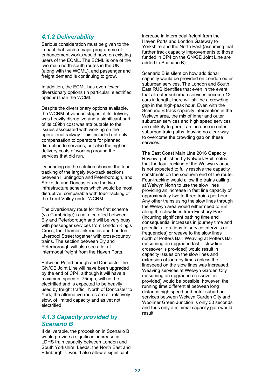### *4.1.2 Deliverability*

Serious consideration must be given to the impact that such a major programme of enhancement works would have on existing users of the ECML. The ECML is one of the two main north-south routes in the UK (along with the WCML), and passenger and freight demand is continuing to grow.

In addition, the ECML has even fewer diversionary options (in particular, electrified options) than the WCML.

Despite the diversionary options available, the WCRM at various stages of its delivery was heavily disruptive and a significant part of its c£9bn cost was attributable to the issues associated with working on the operational railway. This included not only compensation to operators for planned disruption to services, but also the higher delivery costs of working around the services that did run.

Depending on the solution chosen, the fourtracking of the largely two-track sections between Huntingdon and Peterborough, and Stoke Jn and Doncaster are the two infrastructure schemes which would be most disruptive, comparable with four-tracking of the Trent Valley under WCRM.

The diversionary route for the first scheme (via Cambridge) is not electrified between Ely and Peterborough and will be very busy with passenger services from London King's Cross, the Thameslink routes and London Liverpool Street together with cross-country trains. The section between Ely and Peterborough will also see a lot of intermodal freight from the Haven Ports.

Between Peterborough and Doncaster the GN/GE Joint Line will have been upgraded by the end of CP4, although it will have a maximum speed of 75mph, will not be electrified and is expected to be heavily used by freight traffic. North of Doncaster to York, the alternative routes are all relatively slow, of limited capacity and as yet not electrified.

### *4.1.3 Capacity provided by Scenario B*

If deliverable, the proposition in Scenario B would provide a significant increase in LDHS train capacity between London and South Yorkshire, Leeds, the North East and Edinburgh. It would also allow a significant

increase in intermodal freight from the Haven Ports and London Gateway to Yorkshire and the North East (assuming that further track capacity improvements to those funded in CP4 on the GN/GE Joint Line are added to Scenario B).

services. Scenario B is silent on how additional capacity would be provided on London outer suburban services. The London and South East RUS identifies that even in the event that all outer suburban services become 12 cars in length, there will still be a crowding gap in the high-peak hour. Even with the Scenario B track capacity intervention in the Welwyn area, the mix of inner and outer suburban services and high speed services are unlikely to permit an increase in outer suburban train paths, leaving no clear way to overcome the crowding gap on these

The East Coast Main Line 2016 Capacity Review, published by Network Rail, notes that the four-tracking of the Welwyn viaduct is not expected to fully resolve the capacity constraints on the southern end of the route. Four-tracking would allow the trains calling at Welwyn North to use the slow lines providing an increase in fast line capacity of approximately two to three trains per hour. Any other trains using the slow lines through the Welwyn area would either need to run along the slow lines from Finsbury Park (incurring significant pathing time and consequential increases in journey time and potential alterations to service intervals or frequencies) or weave to the slow lines north of Potters Bar. Weaving at Potters Bar (assuming an upgraded fast – slow line crossover is provided) would result in capacity issues on the slow lines and extension of journey times unless the linespeed on the slow lines was increased. Weaving services at Welwyn Garden City (assuming an upgraded crossover is provided) would be possible; however, the running time differential between long distance high speed and outer suburban services between Welwyn Garden City and Woolmer Green Junction is only 30 seconds and thus only a minimal capacity gain would result.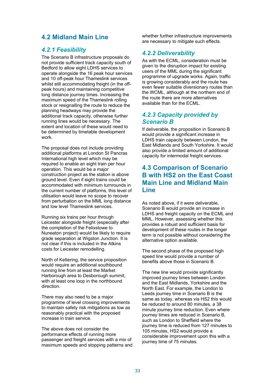# **4.2 Midland Main Line**

# *4.2.1 Feasibility*

The Scenario B infrastructure proposals do not provide sufficient track capacity south of Bedford to allow eight LDHS services to operate alongside the 16 peak hour services and 10 off-peak hour Thameslink services whilst still accommodating freight (in the offpeak hours) and maintaining competitive long distance journey times. Increasing the maximum speed of the Thameslink rolling stock or resignalling the route to reduce the planning headways may provide the additional track capacity, otherwise further running lines would be necessary. The extent and location of these would need to be determined by timetable development work.

The proposal does not include providing additional platforms at London St Pancras International high level which may be required to enable an eight train per hour operation. This would be a major construction project as the station is above ground level. Even if eight trains could be accommodated with minimum turnrounds in the current number of platforms, this level of utilisation would leave no scope to recover from perturbation on the MML long distance and low level Thameslink services.

Running six trains per hour through Leicester alongside freight (especially after the completion of the Felixstowe to Nuneaton project) would be likely to require grade separation at Wigston Junction. It is not clear if this is included in the Atkins costs for Leicester remodelling.

North of Kettering, the service proposition would require an additional southbound running line from at least the Market Harborough area to Desborough summit, with at least one loop in the northbound direction.

There may also need to be a major programme of level crossing improvements to maintain safety risk mitigations as low as reasonably practical with the proposed increase in train service.

The above does not consider the performance effects of running more passenger and freight services with a mix of maximum speeds and stopping patterns and whether further infrastructure improvements are necessary to mitigate such effects.

### *4.2.2 Deliverability*

As with the ECML, consideration must be given to the disruption impact for existing users of the MML during the significant programme of upgrade works. Again, traffic is growing considerably and the route has even fewer suitable diversionary routes than the WCML, although at the northern end of the route there are more alternatives available than for the ECML.

### *4.2.3 Capacity provided by Scenario B*

If deliverable, the proposition in Scenario B would provide a significant increase in LDHS train capacity between London, the East Midlands and South Yorkshire. It would also provide a limited amount of additional capacity for intermodal freight services.

# **4.3 Comparison of Scenario B with HS2 on the East Coast Main Line and Midland Main Line**

As noted above, if it were deliverable, Scenario B would provide an increase in LDHS and freight capacity on the ECML and MML. However, assessing whether this provides a robust and sufficient basis for development of these routes in the longer term is not possible without considering the alternative option available.

The second phase of the proposed high speed line would provide a number of benefits above those in Scenario B.

The new line would provide significantly improved journey times between London and the East Midlands, Yorkshire and the North East. For example, the London to Leeds journey time in Scenario B is the same as today, whereas via HS2 this would be reduced to around 80 minutes, a 38 minute journey time reduction. Even where journey times are reduced in Scenario B, such as London to Sheffield where the journey time is reduced from 127 minutes to 105 minutes, HS2 would provide a considerable improvement upon this with a journey time of 75 minutes.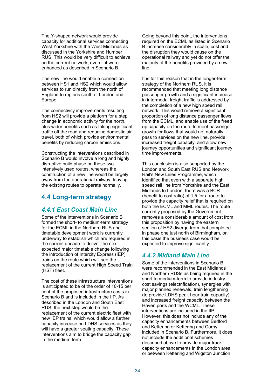The Y-shaped network would provide capacity for additional services connecting West Yorkshire with the West Midlands as discussed in the Yorkshire and Humber RUS. This would be very difficult to achieve on the current network, even if it were enhanced as described in Scenario B.

The new line would enable a connection between HS1 and HS2 which would allow services to run directly from the north of England to regions south of London and Europe.

The connectivity improvements resulting from HS2 will provide a platform for a step change in economic activity for the north, plus wider benefits such as taking significant traffic off the road and reducing domestic air travel, both of which provide environmental benefits by reducing carbon emissions.

Constructing the interventions described in Scenario B would involve a long and highly disruptive build phase on these two intensively used routes, whereas the construction of a new line would be largely away from the operational railway, leaving the existing routes to operate normally.

# **4.4 Long-term strategy**

# *4.4.1 East Coast Main Line*

Some of the interventions in Scenario B formed the short- to medium-term strategy for the ECML in the Northern RUS and timetable development work is currently underway to establish which are required in the current decade to deliver the next expected major timetable change following the introduction of Intercity Express (IEP) trains on the route which will see the replacement of the current High Speed Train (HST) fleet.

The cost of these infrastructure interventions is anticipated to be of the order of 10-15 per cent of the proposed infrastructure costs in Scenario B and is included in the IIP. As described in the London and South East RUS, the next step would be the replacement of the current electric fleet with new IEP trains, which would allow a further capacity increase on LDHS services as they will have a greater seating capacity. These interventions aim to bridge the capacity gap in the medium term.

Going beyond this point, the interventions required on the ECML as listed in Scenario B increase considerably in scale, cost and the disruption they would cause on the operational railway and yet do not offer the majority of the benefits provided by a new line.

It is for this reason that in the longer-term strategy of the Northern RUS, it is recommended that meeting long distance passenger growth and a significant increase in intermodal freight traffic is addressed by the completion of a new high speed rail network. This would remove a significant proportion of long distance passenger flows from the ECML, and enable use of the freed up capacity on the route to meet passenger growth for flows that would not naturally pass to services on the new line, provide increased freight capacity, and allow new journey opportunities and significant journey time improvements.

This conclusion is also supported by the London and South East RUS and Network Rail's New Lines Programme, which identified that even with a separate high speed rail line from Yorkshire and the East Midlands to London, there was a BCR (benefit to cost ratio) of 1.5 for a route to provide the capacity relief that is required on both the ECML and MML routes. The route currently proposed by the Government removes a considerable amount of cost from this proposition by having the eastern section of HS2 diverge from that completed in phase one just north of Birmingham, on this basis the business case would be expected to improve significantly.

# *4.4.2 Midland Main Line*

Some of the interventions in Scenario B were recommended in the East Midlands and Northern RUSs as being required in the short to medium-term to provide industry cost savings (electrification), synergies with major planned renewals, train lengthening (to provide LDHS peak hour train capacity), and increased freight capacity between the Haven ports and the WCML. These interventions are included in the IIP. However, this does not include any of the capacity enhancements between Bedford and Kettering or Kettering and Corby included in Scenario B. Furthermore, it does not include the additional schemes described above to provide major track capacity enhancements in the London area or between Kettering and Wigston Junction.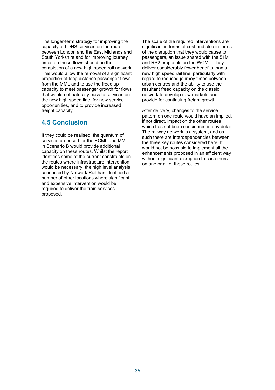The longer-term strategy for improving the capacity of LDHS services on the route between London and the East Midlands and South Yorkshire and for improving journey times on these flows should be the completion of a new high speed rail network. This would allow the removal of a significant proportion of long distance passenger flows from the MML and to use the freed up capacity to meet passenger growth for flows that would not naturally pass to services on the new high speed line, for new service opportunities, and to provide increased freight capacity.

# **4.5 Conclusion**

If they could be realised, the quantum of services proposed for the ECML and MML in Scenario B would provide additional capacity on these routes. Whilst the report identifies some of the current constraints on the routes where infrastructure intervention would be necessary, the high level analysis conducted by Network Rail has identified a number of other locations where significant and expensive intervention would be required to deliver the train services proposed.

The scale of the required interventions are significant in terms of cost and also in terms of the disruption that they would cause to passengers, an issue shared with the 51M and RP2 proposals on the WCML. They deliver considerably fewer benefits than a new high speed rail line, particularly with regard to reduced journey times between urban centres and the ability to use the resultant freed capacity on the classic network to develop new markets and provide for continuing freight growth.

After delivery, changes to the service pattern on one route would have an implied, if not direct, impact on the other routes which has not been considered in any detail. The railway network is a system, and as such there are interdependencies between the three key routes considered here. It would not be possible to implement all the enhancements proposed in an efficient way without significant disruption to customers on one or all of these routes.